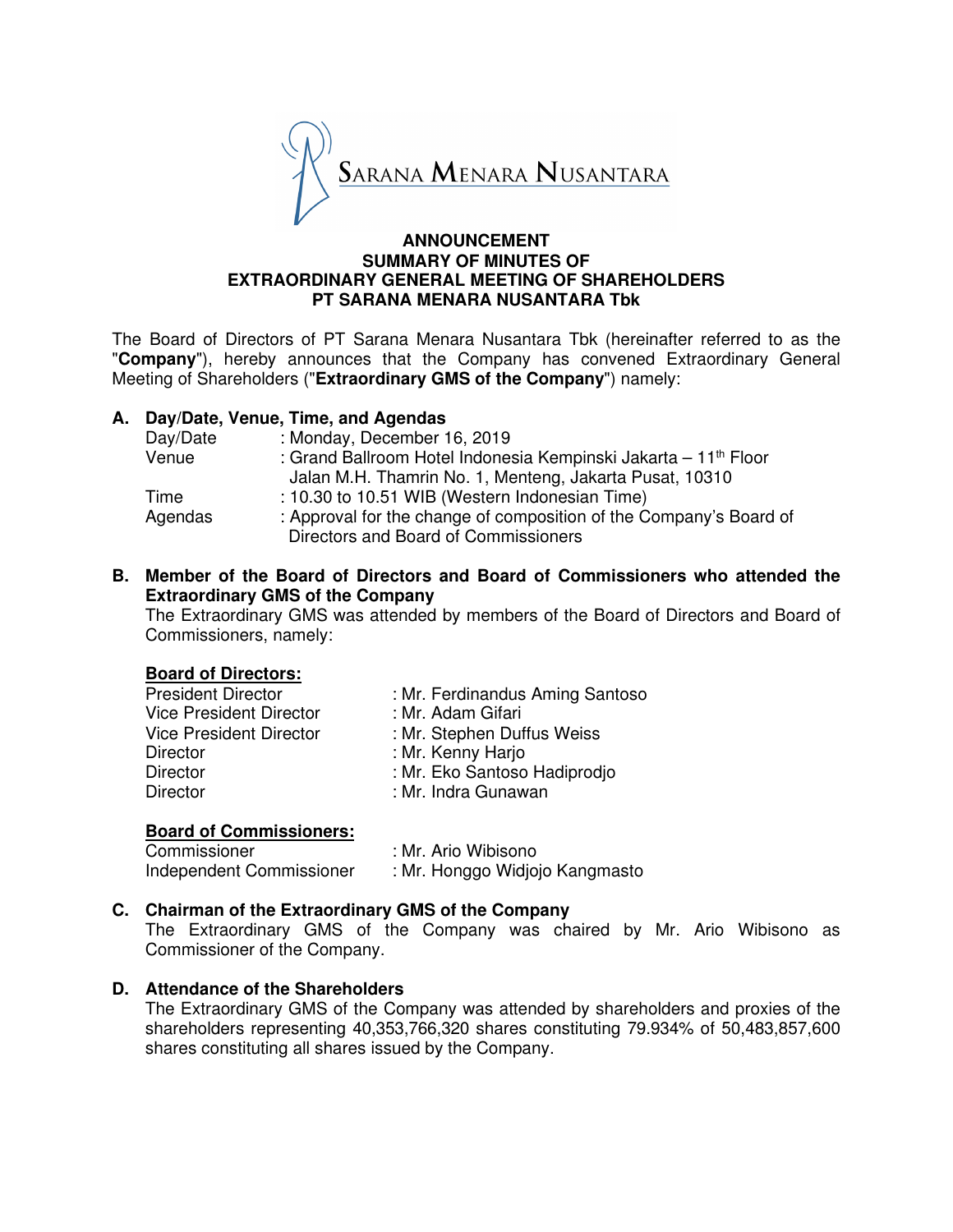

### **ANNOUNCEMENT SUMMARY OF MINUTES OF EXTRAORDINARY GENERAL MEETING OF SHAREHOLDERS PT SARANA MENARA NUSANTARA Tbk**

The Board of Directors of PT Sarana Menara Nusantara Tbk (hereinafter referred to as the "**Company**"), hereby announces that the Company has convened Extraordinary General Meeting of Shareholders ("**Extraordinary GMS of the Company**") namely:

# **A. Day/Date, Venue, Time, and Agendas**

| Day/Date | : Monday, December 16, 2019                                                 |
|----------|-----------------------------------------------------------------------------|
| Venue    | : Grand Ballroom Hotel Indonesia Kempinski Jakarta – 11 <sup>th</sup> Floor |
|          | Jalan M.H. Thamrin No. 1, Menteng, Jakarta Pusat, 10310                     |
| Time     | : 10.30 to 10.51 WIB (Western Indonesian Time)                              |
| Agendas  | : Approval for the change of composition of the Company's Board of          |
|          | Directors and Board of Commissioners                                        |

### **B. Member of the Board of Directors and Board of Commissioners who attended the Extraordinary GMS of the Company**

The Extraordinary GMS was attended by members of the Board of Directors and Board of Commissioners, namely:

# **Board of Directors:**

| <b>President Director</b>      | : Mr. Ferdinandus Aming Santoso |
|--------------------------------|---------------------------------|
| <b>Vice President Director</b> | : Mr. Adam Gifari               |
| <b>Vice President Director</b> | : Mr. Stephen Duffus Weiss      |
| <b>Director</b>                | : Mr. Kenny Harjo               |
| <b>Director</b>                | : Mr. Eko Santoso Hadiprodjo    |
| Director                       | : Mr. Indra Gunawan             |
|                                |                                 |

#### **Board of Commissioners:**

| Commissioner             | : Mr. Ario Wibisono            |
|--------------------------|--------------------------------|
| Independent Commissioner | : Mr. Honggo Widjojo Kangmasto |

# **C. Chairman of the Extraordinary GMS of the Company**

The Extraordinary GMS of the Company was chaired by Mr. Ario Wibisono as Commissioner of the Company.

#### **D. Attendance of the Shareholders**

The Extraordinary GMS of the Company was attended by shareholders and proxies of the shareholders representing 40,353,766,320 shares constituting 79.934% of 50,483,857,600 shares constituting all shares issued by the Company.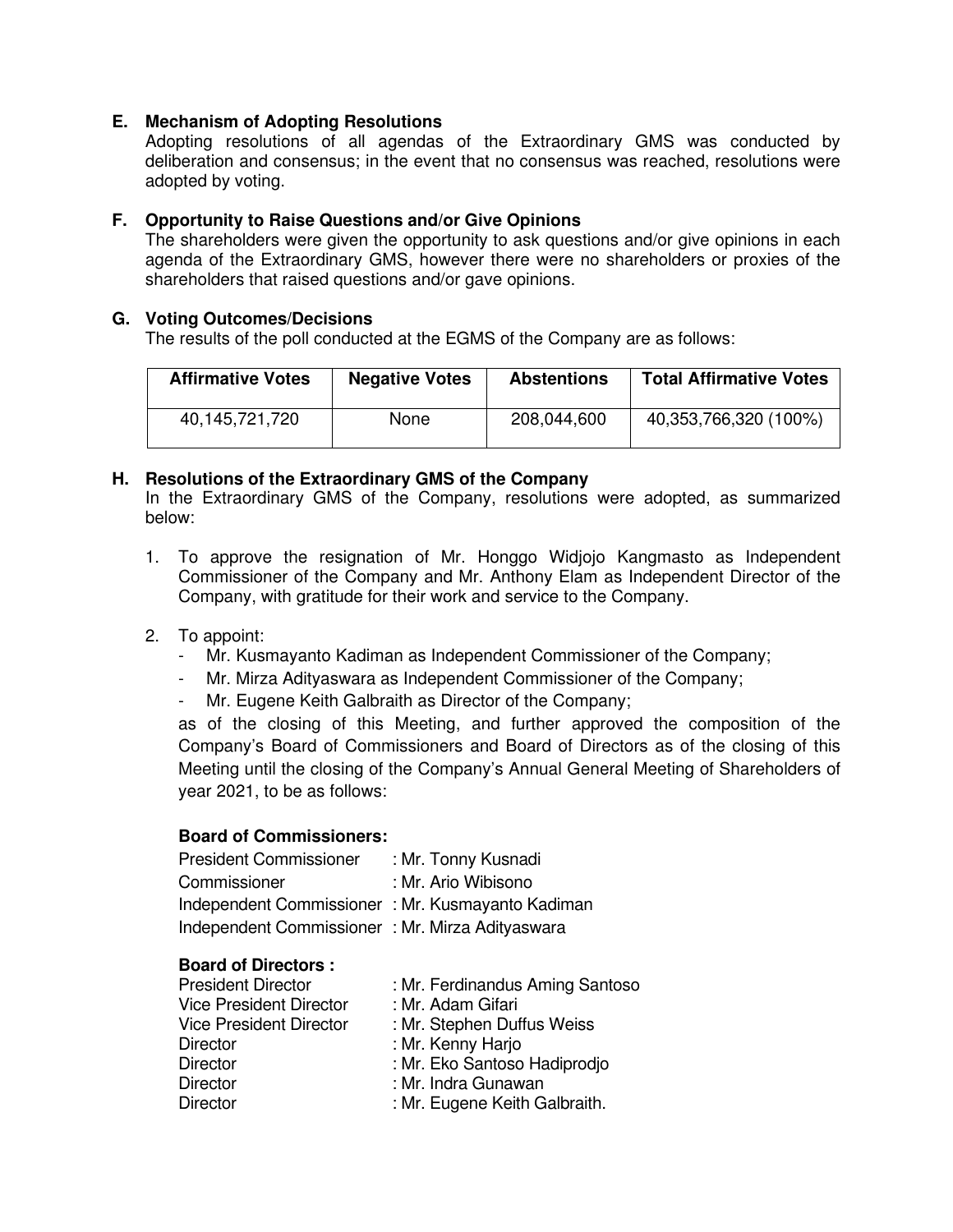# **E. Mechanism of Adopting Resolutions**

Adopting resolutions of all agendas of the Extraordinary GMS was conducted by deliberation and consensus; in the event that no consensus was reached, resolutions were adopted by voting.

# **F. Opportunity to Raise Questions and/or Give Opinions**

The shareholders were given the opportunity to ask questions and/or give opinions in each agenda of the Extraordinary GMS, however there were no shareholders or proxies of the shareholders that raised questions and/or gave opinions.

#### **G. Voting Outcomes/Decisions**

The results of the poll conducted at the EGMS of the Company are as follows:

| <b>Affirmative Votes</b> | <b>Negative Votes</b> | <b>Abstentions</b> | <b>Total Affirmative Votes</b> |
|--------------------------|-----------------------|--------------------|--------------------------------|
| 40,145,721,720           | <b>None</b>           | 208,044,600        | 40,353,766,320 (100%)          |

# **H. Resolutions of the Extraordinary GMS of the Company**

In the Extraordinary GMS of the Company, resolutions were adopted, as summarized below:

1. To approve the resignation of Mr. Honggo Widjojo Kangmasto as Independent Commissioner of the Company and Mr. Anthony Elam as Independent Director of the Company, with gratitude for their work and service to the Company.

# 2. To appoint:

- Mr. Kusmayanto Kadiman as Independent Commissioner of the Company;
- Mr. Mirza Adityaswara as Independent Commissioner of the Company;
- Mr. Eugene Keith Galbraith as Director of the Company;

as of the closing of this Meeting, and further approved the composition of the Company's Board of Commissioners and Board of Directors as of the closing of this Meeting until the closing of the Company's Annual General Meeting of Shareholders of year 2021, to be as follows:

# **Board of Commissioners:**

| <b>President Commissioner</b>                    | : Mr. Tonny Kusnadi |
|--------------------------------------------------|---------------------|
| Commissioner                                     | : Mr. Ario Wibisono |
| Independent Commissioner: Mr. Kusmayanto Kadiman |                     |
| Independent Commissioner : Mr. Mirza Adityaswara |                     |

#### **Board of Directors :**

| <b>President Director</b>      | : Mr. Ferdinandus Aming Santoso |
|--------------------------------|---------------------------------|
| <b>Vice President Director</b> | : Mr. Adam Gifari               |
| <b>Vice President Director</b> | : Mr. Stephen Duffus Weiss      |
| <b>Director</b>                | : Mr. Kenny Harjo               |
| <b>Director</b>                | : Mr. Eko Santoso Hadiprodjo    |
| <b>Director</b>                | : Mr. Indra Gunawan             |
| <b>Director</b>                | : Mr. Eugene Keith Galbraith.   |